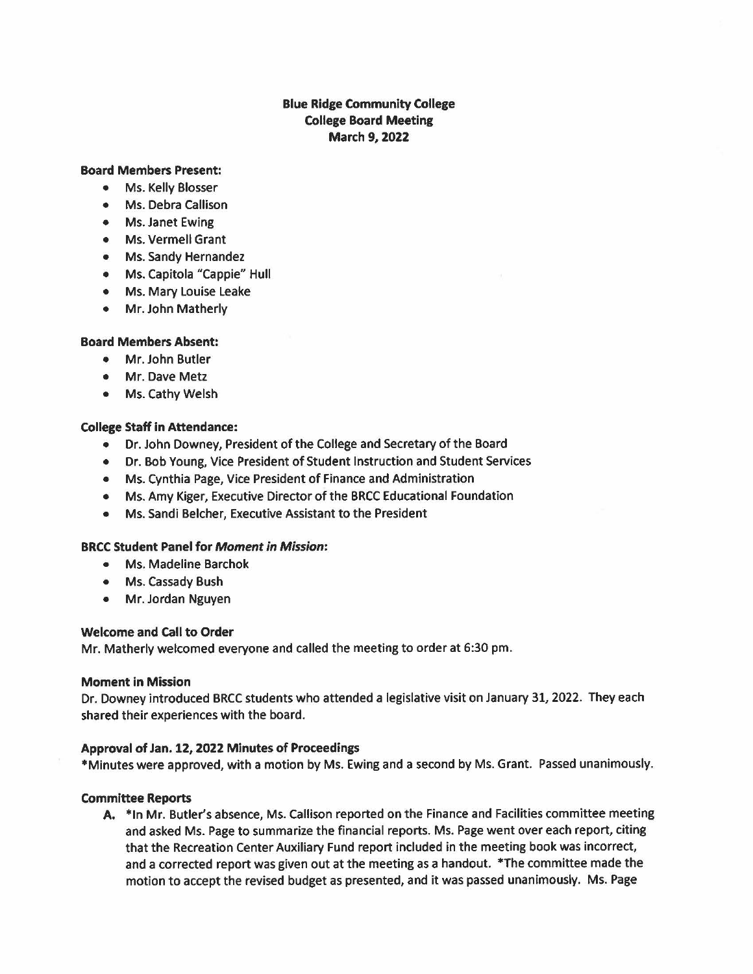# **Blue Ridge Community College College Board Meeting March 9, 2022**

## **Board Members Present:**

- Ms. Kelly Blosser
- Ms. Debra Callison
- Ms. Janet Ewing
- Ms. Vermell Grant
- Ms. Sandy Hernandez
- Ms. Capitola "Cappie" Hull
- Ms. Mary Louise Leake
- Mr. John Matherly

### **Board Members Absent:**

- Mr. John Butler
- Mr. Dave Metz
- Ms. Cathy Welsh

# **College Staff in Attendance:**

- Dr. John Downey, President of the College and Secretary of the Board
- Dr. Bob Young, Vice President of Student Instruction and Student Services
- Ms. Cynthia Page, Vice President of Finance and Administration
- Ms. Amy Kiger, Executive Director of the BRCC Educational Foundation
- Ms. Sandi Belcher, Executive Assistant to the President

#### **BRCC Student Panel for Moment in Mission:**

- Ms. Madeline Barchok
- Ms. Cassady Bush
- Mr. Jordan Nguyen

#### **Welcome and call to Order**

Mr. Matherly welcomed everyone and called the meeting to order at 6:30 pm.

#### **Moment in Mission**

Dr. Downey introduced BRCC students who attended a legislative visit on January 31, 2022. They each shared their experiences with the board.

#### **Approval of Jan.12, 2022 Minutes of Proceedings**

\*Minutes were approved, with a motion by Ms. Ewing and a second by Ms. Grant. Passed unanimously.

#### **Committee Reports**

**A.** \*In Mr. Butler's absence, Ms. Callison reported on the Finance and Facilities committee meeting and asked Ms. Page to summarize the financial reports. Ms. Page went over each report, citing that the Recreation Center Auxiliary Fund report included in the meeting book was incorrect, and a corrected report was given out at the meeting as a handout. \*The committee made the motion to accept the revised budget as presented, and it was passed unanimously. Ms. Page